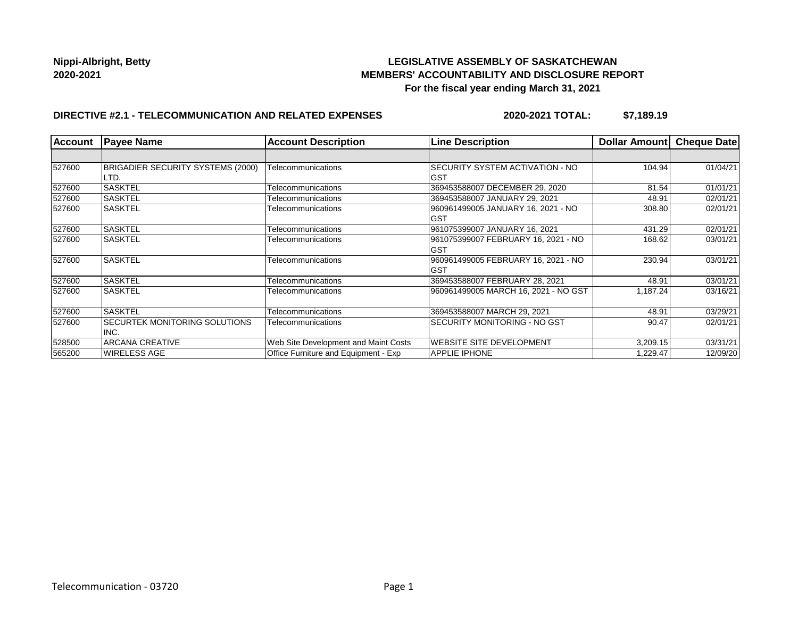## **LEGISLATIVE ASSEMBLY OF SASKATCHEWAN MEMBERS' ACCOUNTABILITY AND DISCLOSURE REPORT For the fiscal year ending March 31, 2021**

## **DIRECTIVE #2.1 - TELECOMMUNICATION AND RELATED EXPENSES**

**2020-2021 TOTAL: \$7,189.19**

| <b>Account</b> | <b>Payee Name</b>                 | <b>Account Description</b>           | <b>Line Description</b>              | Dollar Amount | <b>Cheque Date</b> |
|----------------|-----------------------------------|--------------------------------------|--------------------------------------|---------------|--------------------|
|                |                                   |                                      |                                      |               |                    |
| 527600         | BRIGADIER SECURITY SYSTEMS (2000) | Telecommunications                   | SECURITY SYSTEM ACTIVATION - NO      | 104.94        | 01/04/21           |
|                | LTD.                              |                                      | <b>IGST</b>                          |               |                    |
| 527600         | <b>SASKTEL</b>                    | Telecommunications                   | 369453588007 DECEMBER 29, 2020       | 81.54         | 01/01/21           |
| 527600         | <b>SASKTEL</b>                    | Telecommunications                   | 369453588007 JANUARY 29, 2021        | 48.91         | 02/01/21           |
| 527600         | <b>SASKTEL</b>                    | Telecommunications                   | 960961499005 JANUARY 16, 2021 - NO   | 308.80        | 02/01/21           |
|                |                                   |                                      | <b>GST</b>                           |               |                    |
| 527600         | <b>SASKTEL</b>                    | Telecommunications                   | 961075399007 JANUARY 16, 2021        | 431.29        | 02/01/21           |
| 527600         | <b>SASKTEL</b>                    | Telecommunications                   | 961075399007 FEBRUARY 16, 2021 - NO  | 168.62        | 03/01/21           |
|                |                                   |                                      | <b>IGST</b>                          |               |                    |
| 527600         | <b>SASKTEL</b>                    | Telecommunications                   | 960961499005 FEBRUARY 16, 2021 - NO  | 230.94        | 03/01/21           |
|                |                                   |                                      | <b>GST</b>                           |               |                    |
| 527600         | <b>SASKTEL</b>                    | Telecommunications                   | 369453588007 FEBRUARY 28, 2021       | 48.91         | 03/01/21           |
| 527600         | <b>SASKTEL</b>                    | Telecommunications                   | 960961499005 MARCH 16, 2021 - NO GST | 1,187.24      | 03/16/21           |
|                |                                   |                                      |                                      |               |                    |
| 527600         | <b>SASKTEL</b>                    | Telecommunications                   | 369453588007 MARCH 29, 2021          | 48.91         | 03/29/21           |
| 527600         | SECURTEK MONITORING SOLUTIONS     | Telecommunications                   | SECURITY MONITORING - NO GST         | 90.47         | 02/01/21           |
|                | INC.                              |                                      |                                      |               |                    |
| 528500         | <b>ARCANA CREATIVE</b>            | Web Site Development and Maint Costs | <b>WEBSITE SITE DEVELOPMENT</b>      | 3,209.15      | 03/31/21           |
| 565200         | WIRELESS AGE                      | Office Furniture and Equipment - Exp | <b>APPLIE IPHONE</b>                 | 1,229.47      | 12/09/20           |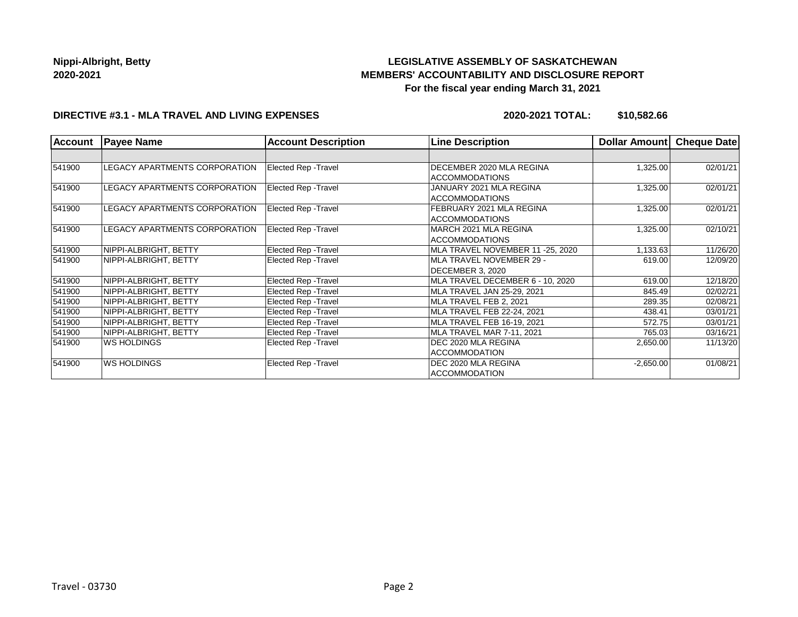# **LEGISLATIVE ASSEMBLY OF SASKATCHEWAN MEMBERS' ACCOUNTABILITY AND DISCLOSURE REPORT For the fiscal year ending March 31, 2021**

### **DIRECTIVE #3.1 - MLA TRAVEL AND LIVING EXPENSES**

**2020-2021 TOTAL: \$10,582.66**

| <b>Account</b> | <b>Payee Name</b>                    | <b>Account Description</b>  | <b>Line Description</b>                           | Dollar Amount | Cheque Date |
|----------------|--------------------------------------|-----------------------------|---------------------------------------------------|---------------|-------------|
|                |                                      |                             |                                                   |               |             |
| 541900         | LEGACY APARTMENTS CORPORATION        | <b>Elected Rep - Travel</b> | DECEMBER 2020 MLA REGINA<br><b>ACCOMMODATIONS</b> | 1,325.00      | 02/01/21    |
| 541900         | <b>LEGACY APARTMENTS CORPORATION</b> | <b>Elected Rep - Travel</b> | JANUARY 2021 MLA REGINA<br><b>ACCOMMODATIONS</b>  | 1,325.00      | 02/01/21    |
| 541900         | LEGACY APARTMENTS CORPORATION        | <b>Elected Rep - Travel</b> | FEBRUARY 2021 MLA REGINA<br><b>ACCOMMODATIONS</b> | 1,325.00      | 02/01/21    |
| 541900         | <b>LEGACY APARTMENTS CORPORATION</b> | Elected Rep - Travel        | MARCH 2021 MLA REGINA<br><b>ACCOMMODATIONS</b>    | 1,325.00      | 02/10/21    |
| 541900         | NIPPI-ALBRIGHT, BETTY                | <b>Elected Rep - Travel</b> | MLA TRAVEL NOVEMBER 11 -25, 2020                  | 1,133.63      | 11/26/20    |
| 541900         | NIPPI-ALBRIGHT, BETTY                | <b>Elected Rep - Travel</b> | MLA TRAVEL NOVEMBER 29 -<br>DECEMBER 3, 2020      | 619.00        | 12/09/20    |
| 541900         | NIPPI-ALBRIGHT, BETTY                | Elected Rep - Travel        | MLA TRAVEL DECEMBER 6 - 10, 2020                  | 619.00        | 12/18/20    |
| 541900         | NIPPI-ALBRIGHT, BETTY                | <b>Elected Rep - Travel</b> | MLA TRAVEL JAN 25-29, 2021                        | 845.49        | 02/02/21    |
| 541900         | NIPPI-ALBRIGHT, BETTY                | Elected Rep - Travel        | MLA TRAVEL FEB 2, 2021                            | 289.35        | 02/08/21    |
| 541900         | NIPPI-ALBRIGHT, BETTY                | Elected Rep - Travel        | MLA TRAVEL FEB 22-24, 2021                        | 438.41        | 03/01/21    |
| 541900         | NIPPI-ALBRIGHT, BETTY                | Elected Rep - Travel        | MLA TRAVEL FEB 16-19, 2021                        | 572.75        | 03/01/21    |
| 541900         | NIPPI-ALBRIGHT, BETTY                | Elected Rep - Travel        | MLA TRAVEL MAR 7-11, 2021                         | 765.03        | 03/16/21    |
| 541900         | <b>WS HOLDINGS</b>                   | <b>Elected Rep - Travel</b> | DEC 2020 MLA REGINA<br><b>ACCOMMODATION</b>       | 2,650.00      | 11/13/20    |
| 541900         | <b>WS HOLDINGS</b>                   | <b>Elected Rep - Travel</b> | DEC 2020 MLA REGINA<br><b>ACCOMMODATION</b>       | $-2,650.00$   | 01/08/21    |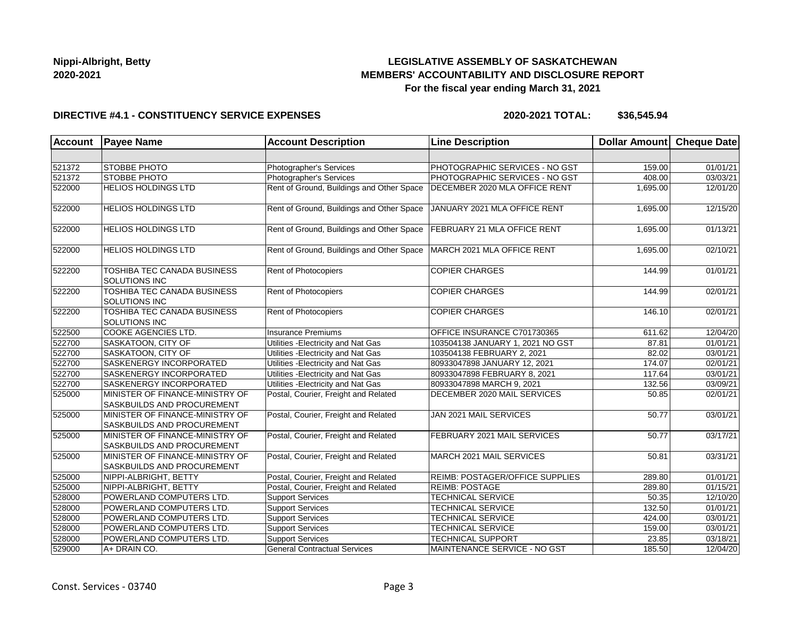# **LEGISLATIVE ASSEMBLY OF SASKATCHEWAN MEMBERS' ACCOUNTABILITY AND DISCLOSURE REPORT For the fiscal year ending March 31, 2021**

### **DIRECTIVE #4.1 - CONSTITUENCY SERVICE EXPENSES**

**2020-2021 TOTAL: \$36,545.94**

| <b>Account</b> | <b>Payee Name</b>                                                    | <b>Account Description</b>                | <b>Line Description</b>                | Dollar Amount Cheque Date |          |
|----------------|----------------------------------------------------------------------|-------------------------------------------|----------------------------------------|---------------------------|----------|
|                |                                                                      |                                           |                                        |                           |          |
| 521372         | STOBBE PHOTO                                                         | Photographer's Services                   | PHOTOGRAPHIC SERVICES - NO GST         | 159.00                    | 01/01/21 |
| 521372         | <b>STOBBE PHOTO</b>                                                  | Photographer's Services                   | PHOTOGRAPHIC SERVICES - NO GST         | 408.00                    | 03/03/21 |
| 522000         | <b>HELIOS HOLDINGS LTD</b>                                           | Rent of Ground, Buildings and Other Space | DECEMBER 2020 MLA OFFICE RENT          | 1,695.00                  | 12/01/20 |
| 522000         | <b>HELIOS HOLDINGS LTD</b>                                           | Rent of Ground, Buildings and Other Space | JANUARY 2021 MLA OFFICE RENT           | 1,695.00                  | 12/15/20 |
| 522000         | <b>HELIOS HOLDINGS LTD</b>                                           | Rent of Ground, Buildings and Other Space | <b>FEBRUARY 21 MLA OFFICE RENT</b>     | 1,695.00                  | 01/13/21 |
| 522000         | <b>HELIOS HOLDINGS LTD</b>                                           | Rent of Ground, Buildings and Other Space | MARCH 2021 MLA OFFICE RENT             | 1,695.00                  | 02/10/21 |
| 522200         | TOSHIBA TEC CANADA BUSINESS<br>SOLUTIONS INC                         | <b>Rent of Photocopiers</b>               | <b>COPIER CHARGES</b>                  | 144.99                    | 01/01/21 |
| 522200         | TOSHIBA TEC CANADA BUSINESS<br>SOLUTIONS INC                         | Rent of Photocopiers                      | <b>COPIER CHARGES</b>                  | 144.99                    | 02/01/21 |
| 522200         | <b>TOSHIBA TEC CANADA BUSINESS</b><br><b>SOLUTIONS INC</b>           | Rent of Photocopiers                      | <b>COPIER CHARGES</b>                  | 146.10                    | 02/01/21 |
| 522500         | COOKE AGENCIES LTD.                                                  | Insurance Premiums                        | OFFICE INSURANCE C701730365            | 611.62                    | 12/04/20 |
| 522700         | SASKATOON, CITY OF                                                   | Utilities - Electricity and Nat Gas       | 103504138 JANUARY 1, 2021 NO GST       | 87.81                     | 01/01/21 |
| 522700         | SASKATOON, CITY OF                                                   | Utilities - Electricity and Nat Gas       | 103504138 FEBRUARY 2, 2021             | 82.02                     | 03/01/21 |
| 522700         | SASKENERGY INCORPORATED                                              | Utilities - Electricity and Nat Gas       | 80933047898 JANUARY 12, 2021           | 174.07                    | 02/01/21 |
| 522700         | SASKENERGY INCORPORATED                                              | Utilities - Electricity and Nat Gas       | 80933047898 FEBRUARY 8, 2021           | 117.64                    | 03/01/21 |
| 522700         | SASKENERGY INCORPORATED                                              | Utilities - Electricity and Nat Gas       | 80933047898 MARCH 9, 2021              | 132.56                    | 03/09/21 |
| 525000         | MINISTER OF FINANCE-MINISTRY OF<br>SASKBUILDS AND PROCUREMENT        | Postal, Courier, Freight and Related      | DECEMBER 2020 MAIL SERVICES            | 50.85                     | 02/01/21 |
| 525000         | MINISTER OF FINANCE-MINISTRY OF<br>SASKBUILDS AND PROCUREMENT        | Postal, Courier, Freight and Related      | JAN 2021 MAIL SERVICES                 | 50.77                     | 03/01/21 |
| 525000         | MINISTER OF FINANCE-MINISTRY OF<br><b>SASKBUILDS AND PROCUREMENT</b> | Postal, Courier, Freight and Related      | FEBRUARY 2021 MAIL SERVICES            | 50.77                     | 03/17/21 |
| 525000         | MINISTER OF FINANCE-MINISTRY OF<br>SASKBUILDS AND PROCUREMENT        | Postal, Courier, Freight and Related      | MARCH 2021 MAIL SERVICES               | 50.81                     | 03/31/21 |
| 525000         | NIPPI-ALBRIGHT, BETTY                                                | Postal, Courier, Freight and Related      | <b>REIMB: POSTAGER/OFFICE SUPPLIES</b> | 289.80                    | 01/01/21 |
| 525000         | NIPPI-ALBRIGHT, BETTY                                                | Postal, Courier, Freight and Related      | <b>REIMB: POSTAGE</b>                  | 289.80                    | 01/15/21 |
| 528000         | POWERLAND COMPUTERS LTD.                                             | <b>Support Services</b>                   | <b>TECHNICAL SERVICE</b>               | 50.35                     | 12/10/20 |
| 528000         | POWERLAND COMPUTERS LTD.                                             | <b>Support Services</b>                   | <b>TECHNICAL SERVICE</b>               | 132.50                    | 01/01/21 |
| 528000         | POWERLAND COMPUTERS LTD.                                             | <b>Support Services</b>                   | <b>TECHNICAL SERVICE</b>               | 424.00                    | 03/01/21 |
| 528000         | POWERLAND COMPUTERS LTD.                                             | <b>Support Services</b>                   | <b>TECHNICAL SERVICE</b>               | 159.00                    | 03/01/21 |
| 528000         | POWERLAND COMPUTERS LTD.                                             | <b>Support Services</b>                   | <b>TECHNICAL SUPPORT</b>               | 23.85                     | 03/18/21 |
| 529000         | A+ DRAIN CO.                                                         | <b>General Contractual Services</b>       | MAINTENANCE SERVICE - NO GST           | 185.50                    | 12/04/20 |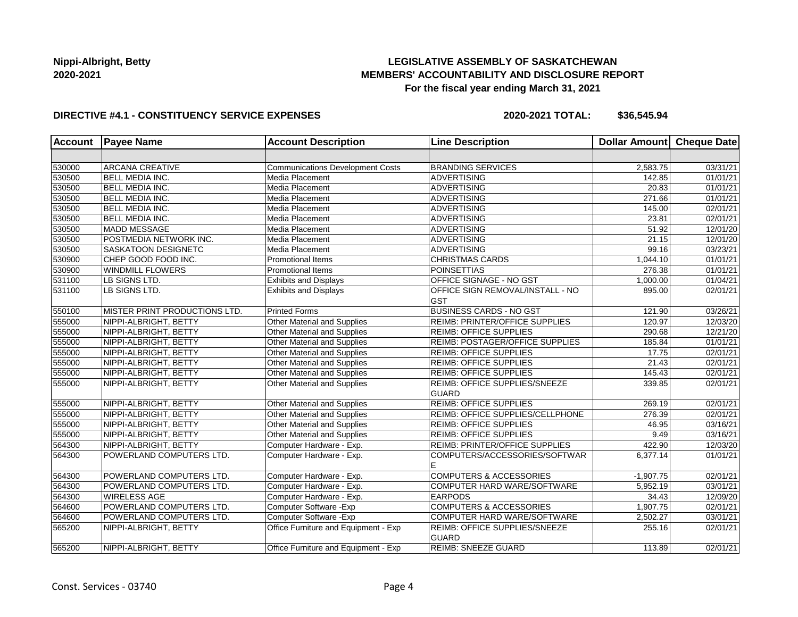## **LEGISLATIVE ASSEMBLY OF SASKATCHEWAN MEMBERS' ACCOUNTABILITY AND DISCLOSURE REPORT For the fiscal year ending March 31, 2021**

### **DIRECTIVE #4.1 - CONSTITUENCY SERVICE EXPENSES**

**2020-2021 TOTAL: \$36,545.94**

| <b>Account</b> | <b>Payee Name</b>               | <b>Account Description</b>              | <b>Line Description</b>                        | <b>Dollar Amount</b> | Cheque Date           |
|----------------|---------------------------------|-----------------------------------------|------------------------------------------------|----------------------|-----------------------|
|                |                                 |                                         |                                                |                      |                       |
| 530000         | <b>ARCANA CREATIVE</b>          | <b>Communications Development Costs</b> | <b>BRANDING SERVICES</b>                       | 2,583.75             | 03/31/21              |
| 530500         | <b>BELL MEDIA INC.</b>          | Media Placement                         | <b>ADVERTISING</b>                             | 142.85               | 01/01/21              |
| 530500         | <b>BELL MEDIA INC.</b>          | Media Placement                         | ADVERTISING                                    | 20.83                | 01/01/21              |
| 530500         | <b>BELL MEDIA INC.</b>          | Media Placement                         | <b>ADVERTISING</b>                             | 271.66               | 01/01/21              |
| 530500         | <b>BELL MEDIA INC.</b>          | Media Placement                         | <b>ADVERTISING</b>                             | 145.00               | 02/01/21              |
| 530500         | <b>BELL MEDIA INC.</b>          | Media Placement                         | <b>ADVERTISING</b>                             | 23.81                | 02/01/21              |
| 530500         | MADD MESSAGE                    | Media Placement                         | <b>ADVERTISING</b>                             | 51.92                | 12/01/20              |
| 530500         | POSTMEDIA NETWORK INC.          | Media Placement                         | <b>ADVERTISING</b>                             | 21.15                | 12/01/20              |
| 530500         | <b>SASKATOON DESIGNETC</b>      | Media Placement                         | ADVERTISING                                    | 99.16                | 03/23/21              |
| 530900         | CHEP GOOD FOOD INC.             | <b>Promotional Items</b>                | <b>CHRISTMAS CARDS</b>                         | 1,044.10             | 01/01/21              |
| 530900         | <b>WINDMILL FLOWERS</b>         | <b>Promotional Items</b>                | POINSETTIAS                                    | 276.38               | 01/01/21              |
| 531100         | LB SIGNS LTD.                   | <b>Exhibits and Displays</b>            | OFFICE SIGNAGE - NO GST                        | 1,000.00             | 01/04/21              |
| 531100         | LB SIGNS LTD.                   | <b>Exhibits and Displays</b>            | OFFICE SIGN REMOVAL/INSTALL - NO<br><b>GST</b> | 895.00               | 02/01/21              |
| 550100         | MISTER PRINT PRODUCTIONS LTD.   | <b>Printed Forms</b>                    | <b>BUSINESS CARDS - NO GST</b>                 | 121.90               | 03/26/21              |
| 555000         | NIPPI-ALBRIGHT, BETTY           | Other Material and Supplies             | REIMB: PRINTER/OFFICE SUPPLIES                 | 120.97               | 12/03/20              |
| 555000         | NIPPI-ALBRIGHT, BETTY           | Other Material and Supplies             | <b>REIMB: OFFICE SUPPLIES</b>                  | 290.68               | 12/21/20              |
| 555000         | NIPPI-ALBRIGHT, BETTY           | Other Material and Supplies             | <b>REIMB: POSTAGER/OFFICE SUPPLIES</b>         | 185.84               | 01/01/21              |
| 555000         | NIPPI-ALBRIGHT, BETTY           | <b>Other Material and Supplies</b>      | <b>REIMB: OFFICE SUPPLIES</b>                  | 17.75                | 02/01/21              |
| 555000         | NIPPI-ALBRIGHT, BETTY           | Other Material and Supplies             | <b>REIMB: OFFICE SUPPLIES</b>                  | 21.43                | 02/01/21              |
| 555000         | NIPPI-ALBRIGHT, BETTY           | Other Material and Supplies             | <b>REIMB: OFFICE SUPPLIES</b>                  | 145.43               | 02/01/21              |
| 555000         | NIPPI-ALBRIGHT, BETTY           | Other Material and Supplies             | REIMB: OFFICE SUPPLIES/SNEEZE<br>GUARD         | 339.85               | 02/01/21              |
| 555000         | NIPPI-ALBRIGHT, BETTY           | Other Material and Supplies             | <b>REIMB: OFFICE SUPPLIES</b>                  | 269.19               | 02/01/21              |
| 555000         | NIPPI-ALBRIGHT, BETTY           | Other Material and Supplies             | <b>REIMB: OFFICE SUPPLIES/CELLPHONE</b>        | 276.39               | 02/01/21              |
| 555000         | NIPPI-ALBRIGHT, BETTY           | Other Material and Supplies             | <b>REIMB: OFFICE SUPPLIES</b>                  | 46.95                | $\overline{03}/16/21$ |
| 555000         | NIPPI-ALBRIGHT, BETTY           | Other Material and Supplies             | <b>REIMB: OFFICE SUPPLIES</b>                  | 9.49                 | 03/16/21              |
| 564300         | NIPPI-ALBRIGHT, BETTY           | Computer Hardware - Exp.                | REIMB: PRINTER/OFFICE SUPPLIES                 | 422.90               | 12/03/20              |
| 564300         | POWERLAND COMPUTERS LTD.        | Computer Hardware - Exp.                | COMPUTERS/ACCESSORIES/SOFTWAR<br>Е             | 6,377.14             | 01/01/21              |
| 564300         | POWERLAND COMPUTERS LTD.        | Computer Hardware - Exp.                | <b>COMPUTERS &amp; ACCESSORIES</b>             | $-1,907.75$          | 02/01/21              |
| 564300         | POWERLAND COMPUTERS LTD.        | Computer Hardware - Exp.                | COMPUTER HARD WARE/SOFTWARE                    | 5,952.19             | $\overline{03}/01/21$ |
| 564300         | <b>WIRELESS AGE</b>             | Computer Hardware - Exp.                | <b>EARPODS</b>                                 | 34.43                | 12/09/20              |
| 564600         | POWERLAND COMPUTERS LTD.        | Computer Software - Exp                 | <b>COMPUTERS &amp; ACCESSORIES</b>             | 1,907.75             | 02/01/21              |
| 564600         | <b>POWERLAND COMPUTERS LTD.</b> | Computer Software - Exp                 | COMPUTER HARD WARE/SOFTWARE                    | 2,502.27             | 03/01/21              |
| 565200         | NIPPI-ALBRIGHT, BETTY           | Office Furniture and Equipment - Exp    | REIMB: OFFICE SUPPLIES/SNEEZE<br><b>GUARD</b>  | 255.16               | 02/01/21              |
| 565200         | NIPPI-ALBRIGHT, BETTY           | Office Furniture and Equipment - Exp    | <b>REIMB: SNEEZE GUARD</b>                     | 113.89               | 02/01/21              |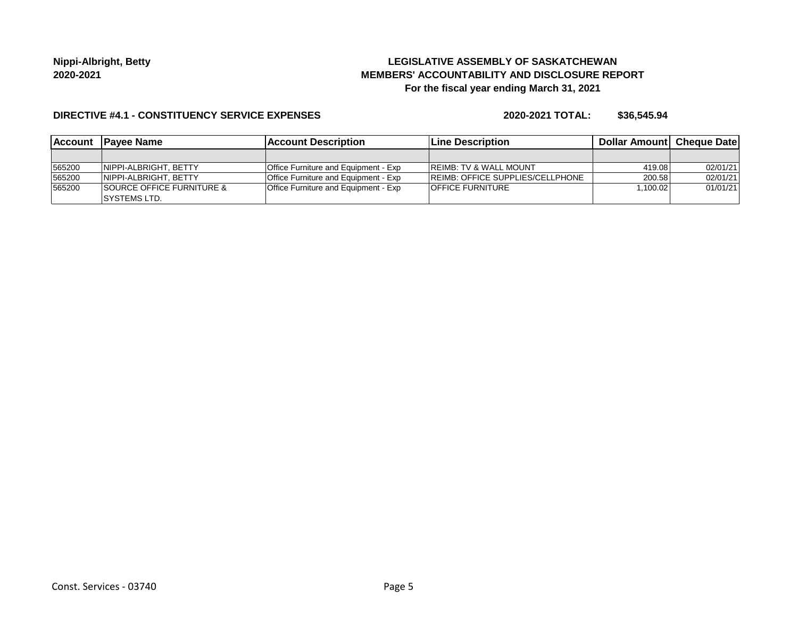## **LEGISLATIVE ASSEMBLY OF SASKATCHEWAN MEMBERS' ACCOUNTABILITY AND DISCLOSURE REPORT For the fiscal year ending March 31, 2021**

### **DIRECTIVE #4.1 - CONSTITUENCY SERVICE EXPENSES**

**2020-2021 TOTAL: \$36,545.94**

|        | Account Payee Name                    | <b>IAccount Description</b>                 | <b>Line Description</b>                 | <b>Dollar AmountI Cheque Date</b> |          |
|--------|---------------------------------------|---------------------------------------------|-----------------------------------------|-----------------------------------|----------|
|        |                                       |                                             |                                         |                                   |          |
| 565200 | INIPPI-ALBRIGHT, BETTY                | <b>Office Furniture and Equipment - Exp</b> | <b>IREIMB: TV &amp; WALL MOUNT</b>      | 419.08                            | 02/01/21 |
| 565200 | INIPPI-ALBRIGHT, BETTY                | Office Furniture and Equipment - Exp        | <b>REIMB: OFFICE SUPPLIES/CELLPHONE</b> | 200.58                            | 02/01/21 |
| 565200 | <b>ISOURCE OFFICE FURNITURE &amp;</b> | Office Furniture and Equipment - Exp        | <b>IOFFICE FURNITURE</b>                | 1.100.02                          | 01/01/21 |
|        | ISYSTEMS LTD.                         |                                             |                                         |                                   |          |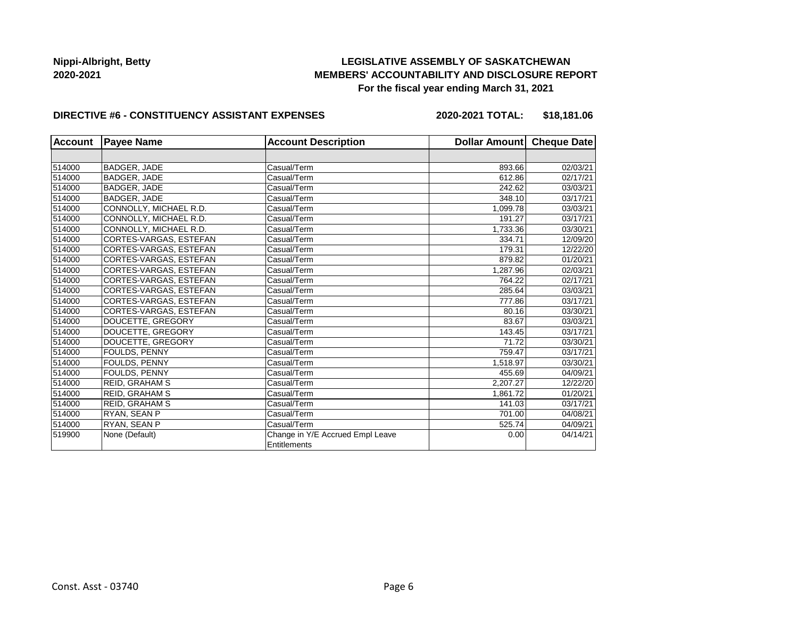## **LEGISLATIVE ASSEMBLY OF SASKATCHEWAN MEMBERS' ACCOUNTABILITY AND DISCLOSURE REPORT For the fiscal year ending March 31, 2021**

### **DIRECTIVE #6 - CONSTITUENCY ASSISTANT EXPENSES**

**2020-2021 TOTAL: \$18,181.06**

| <b>Account</b> | <b>Payee Name</b>             | <b>Account Description</b>                       | Dollar Amount Cheque Date |          |
|----------------|-------------------------------|--------------------------------------------------|---------------------------|----------|
|                |                               |                                                  |                           |          |
| 514000         | BADGER, JADE                  | Casual/Term                                      | 893.66                    | 02/03/21 |
| 514000         | BADGER, JADE                  | Casual/Term                                      | 612.86                    | 02/17/21 |
| 514000         | <b>BADGER, JADE</b>           | Casual/Term                                      | 242.62                    | 03/03/21 |
| 514000         | BADGER, JADE                  | Casual/Term                                      | 348.10                    | 03/17/21 |
| 514000         | CONNOLLY, MICHAEL R.D.        | Casual/Term                                      | 1,099.78                  | 03/03/21 |
| 514000         | CONNOLLY, MICHAEL R.D.        | Casual/Term                                      | 191.27                    | 03/17/21 |
| 514000         | CONNOLLY, MICHAEL R.D.        | Casual/Term                                      | 1,733.36                  | 03/30/21 |
| 514000         | CORTES-VARGAS, ESTEFAN        | Casual/Term                                      | 334.71                    | 12/09/20 |
| 514000         | CORTES-VARGAS, ESTEFAN        | Casual/Term                                      | 179.31                    | 12/22/20 |
| 514000         | CORTES-VARGAS, ESTEFAN        | Casual/Term                                      | 879.82                    | 01/20/21 |
| 514000         | CORTES-VARGAS, ESTEFAN        | Casual/Term                                      | 1,287.96                  | 02/03/21 |
| 514000         | <b>CORTES-VARGAS, ESTEFAN</b> | Casual/Term                                      | 764.22                    | 02/17/21 |
| 514000         | CORTES-VARGAS, ESTEFAN        | Casual/Term                                      | 285.64                    | 03/03/21 |
| 514000         | CORTES-VARGAS, ESTEFAN        | Casual/Term                                      | 777.86                    | 03/17/21 |
| 514000         | CORTES-VARGAS, ESTEFAN        | Casual/Term                                      | 80.16                     | 03/30/21 |
| 514000         | DOUCETTE, GREGORY             | Casual/Term                                      | 83.67                     | 03/03/21 |
| 514000         | DOUCETTE, GREGORY             | Casual/Term                                      | 143.45                    | 03/17/21 |
| 514000         | DOUCETTE, GREGORY             | Casual/Term                                      | 71.72                     | 03/30/21 |
| 514000         | FOULDS, PENNY                 | Casual/Term                                      | 759.47                    | 03/17/21 |
| 514000         | <b>FOULDS, PENNY</b>          | Casual/Term                                      | 1.518.97                  | 03/30/21 |
| 514000         | FOULDS, PENNY                 | Casual/Term                                      | 455.69                    | 04/09/21 |
| 514000         | <b>REID, GRAHAM S</b>         | Casual/Term                                      | 2,207.27                  | 12/22/20 |
| 514000         | <b>REID, GRAHAM S</b>         | Casual/Term                                      | 1,861.72                  | 01/20/21 |
| 514000         | <b>REID, GRAHAM S</b>         | Casual/Term                                      | 141.03                    | 03/17/21 |
| 514000         | RYAN, SEAN P                  | Casual/Term                                      | 701.00                    | 04/08/21 |
| 514000         | RYAN, SEAN P                  | Casual/Term                                      | 525.74                    | 04/09/21 |
| 519900         | None (Default)                | Change in Y/E Accrued Empl Leave<br>Entitlements | 0.00                      | 04/14/21 |